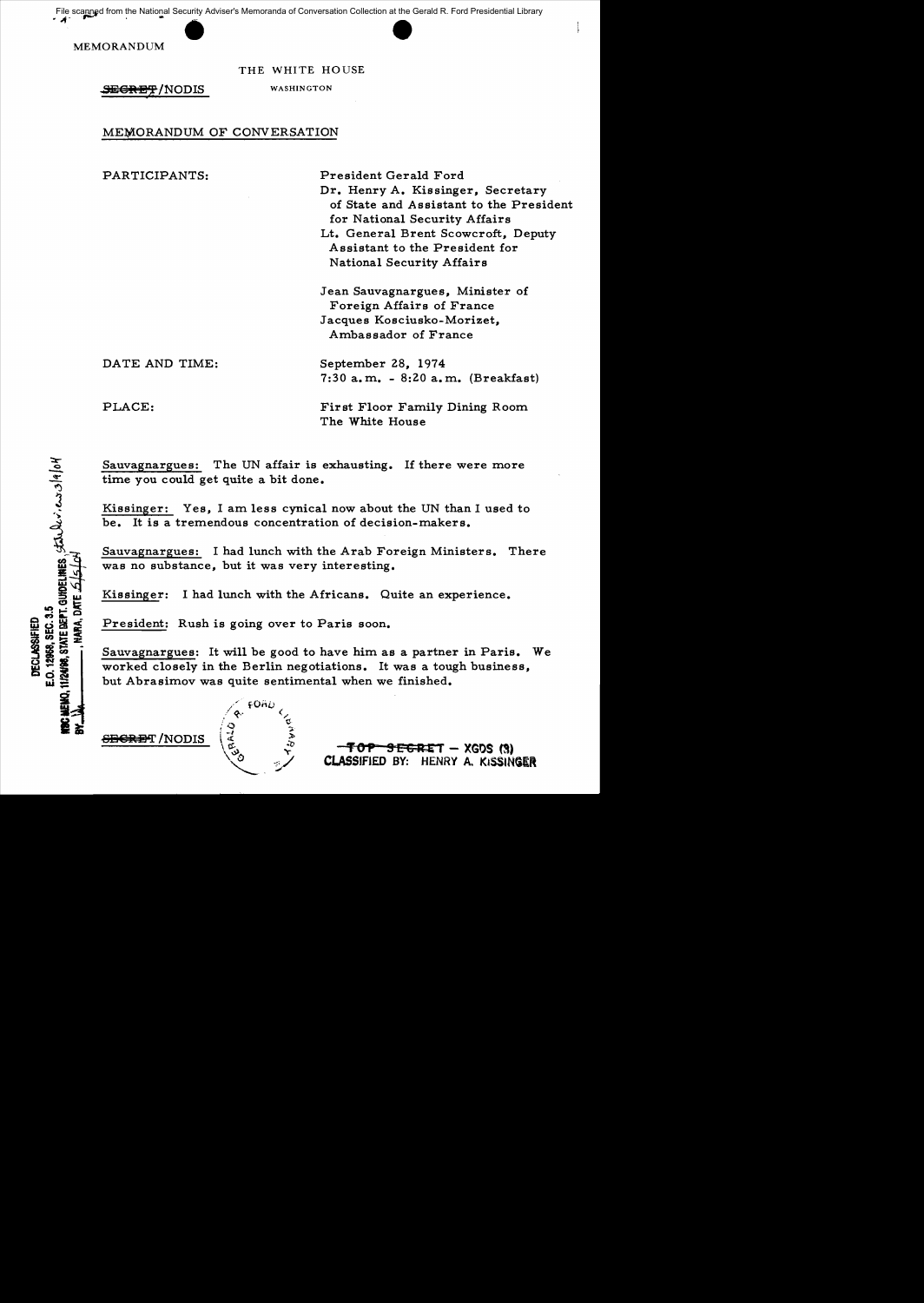File scanned from the National Security Adviser's Memoranda of Conversation Collection at the Gerald R. Ford Presidential Library

MEMORANDUM

THE WHITE HOUSE

SEGRET/NODIS WASHINGTON

MEMORANDUM OF CONVERSATION

PARTICIPANTS: President Gerald Ford Dr. Henry A. Kissinger, Secretary of State and Assistant to the President for National Security Affairs Lt. General Brent Scowcroft, Deputy Assistant to the President for

National Security Affairs

Jean Sauvagnargues, Minister of Foreign Affairs of France Jacques Kosciusko-Morizet, Ambassador of France

DATE AND TIME: September 28, 1974

E.O. 12868, SEC. 3.5<br>11/2498, STATE BEFT. GUIDELINES (SAJLLU), CAJ 3/9/04

E.O. 12868, SEC. 3.5 **DECLASSIFIED** 

HARA, DATE 5

7:30 a. m.. - 8:20 a. m.. (Breakfast)

PLACE: First Floor Family Dining Room The White House

Sauvagnargues: The UN affair is exhausting. If there were more time you could get quite a bit done.

Kissinger: Yes, I am less cynical now about the UN than I used to be. It is a tremendous concentration of decision-makers.

Sauvagnargues: I had lunch with the Arab Foreign Ministers. There was no substance, but it was very interesting.

Kissinger: I had lunch with the Africans. Quite an experience.

President: Rush is going over to Paris soon.

Sauvagnargues: It will be good to have him as a partner in Paris. We worked closely in the Berlin negotiations. It was a tough business, but Abrasimov was quite sentimental when we finished.

<del>SECRE</del>T /NODIS



 $FOAD$ 

 $-$ <del>TOP SEGRE</del>T – XGDS (3) **CLASSIFIED BY: HENRY A. KISSINGER**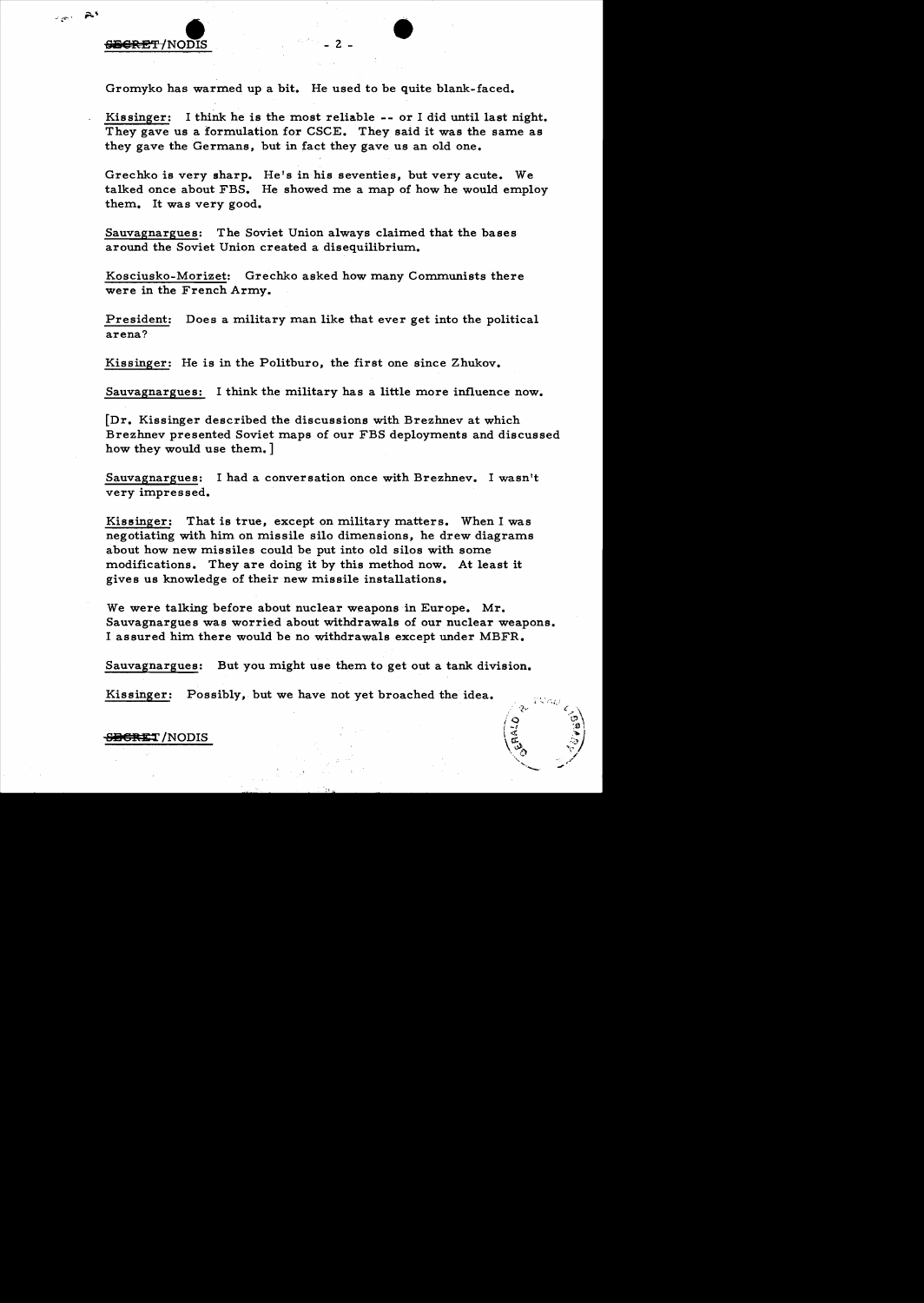**SECRET**/NODIS

 $\sqrt{2}$  as

Gromyko has warmed up a bit. He used to be quite blank-faced.

 $-$  2  $-$  2  $-$  2  $-$ 

Kissinger: I think he is the most reliable -- or I did until last night. They gave us a formulation for CSCE. They said it was the same as they gave the Germans, but in fact they gave us an old one.

Grechko is very sharp. He's in his seventies, but very acute. We talked once about FBS. He showed me a map of how he would employ them. It was very good.

Sauvagnargues: The Soviet Union always claimed that the bases around the Soviet Union created a disequilibrium.

Kosciusko-Morizet: Grechko asked how many Communists there were in the French Army.

President: Does a military man like that ever get into the political arena?

Kissinger: He is in the Politburo, the first one since Zhukov.

Sauvagnargues: I think the military has a little more influence now.

[Dr. Kissinger described the discussions with Brezhnev at which Brezhnev presented Soviet maps of our FBS deployments and discussed how they would use them. ]

Sauvagnargues: I had a conversation once with Brezhnev. I wasn't very impressed.

Kissinger: That is true, except on military matters. When I was negotiating with him on missile silo dimensions, he drew diagrams about how new missiles could be put into old silos with some modifications. They are doing it by this method now. At least it gives us knowledge of their new missile installations.

We were talking before about nuclear weapons in Europe. Mr. Sauvagnargues was worried about withdrawals of our nuclear weapons. I assured him there would be no withdrawals except under MBFR.

Sauvagnargues: But you might use them to get out a tank division.

Kissinger: Possibly, but we have not yet broached the idea.

**SECRET /NODIS**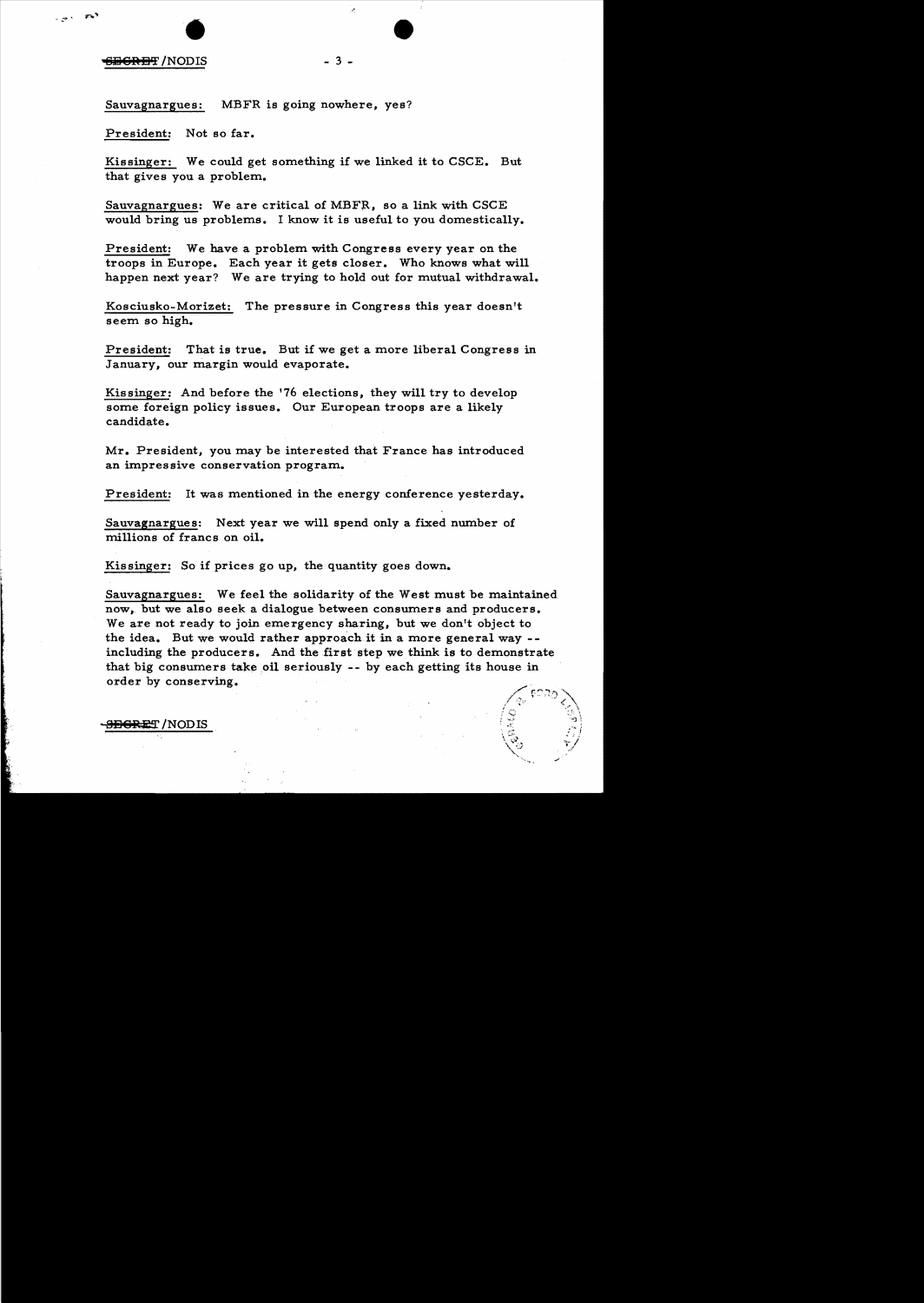# <del>SECRET</del> /NODIS  $\overline{DB}$  - 3 -

Sauvagnargues: MBFR is going nowhere, yes?

President: Not so far.

Kissinger: We could get something if we linked it to CSCE. But that gives you a problem..

Sauvagnargues: We are critical of MBFR, so a link with CSCE would bring us problems. I know it is useful to you domestically.

President: We have a problem with Congress every year on the troops in Europe. Each year it gets closer. Who knows what will happen next year? We are trying to hold out for mutual withdrawal.

Kosciusko-Morizet: The pressure in Congress this year doesn't seem so high.

President: That is true. But if we get a more liberal Congress in January, our margin would evaporate.

Kissinger: And before the '76 elections, they will try to develop some foreign policy issues. Our European troops are a likely candidate.

Mr. President, you may be interested that France has introduced an impressive conservation program.

President: It was mentioned in the energy conference yesterday.

Sauvagnargues: Next year we will spend only a fixed number of millions of francs on oil.

Kissinger: So if prices go up, the quantity goes down.

Sauvagnargues: We feel the solidarity of the West must be maintained now, but we also seek a dialogue between consumers and producers. We are not ready to join emergency sharing, but we don't object to the idea. But we would rather approach it in a more general way  $$ including the producers. And the first step we think is to demonstrate that big consumers take oil seriously -- by each getting its house in order by conserving.

**SEGRET** / NODIS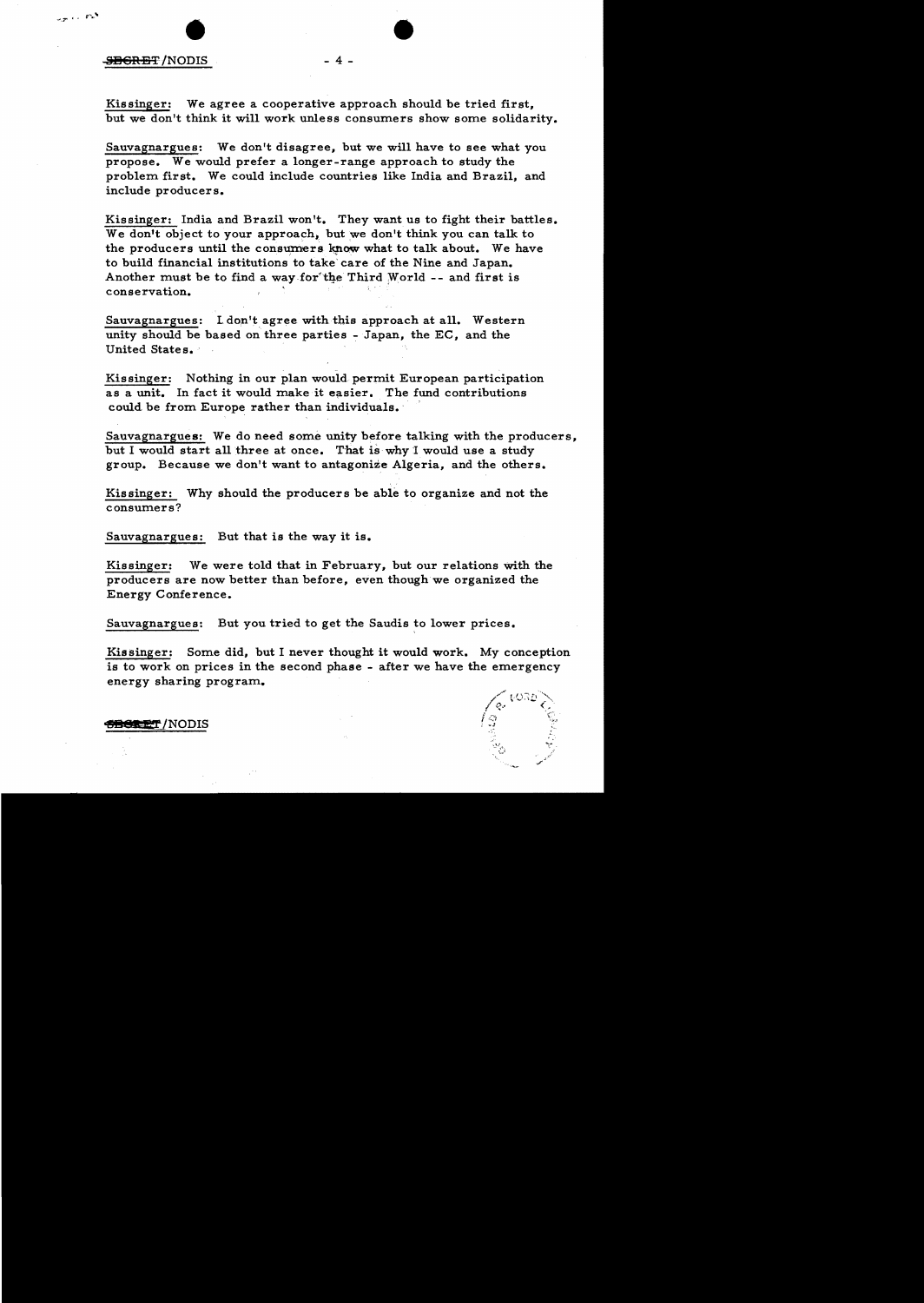#### <del>SECRET</del>/NODIS

فليتم المستويد

Kissinger: We agree a cooperative approach should be tried first, but we don't think it will work unless consumers show some solidarity.

- 4 -

•

Sauvagnargues: We don't disagree, but we will have to see what you propose. We would prefer a longer-range approach to study the problem first. We could include countries like India and Brazil, and include producers.

Kissinger: India and Brazil won't. They want us to fight their battles. We don't object to your approach, but we don't think you can talk to the producers until the consumers know what to talk about. We have to build financial institutions to take care of the Nine and Japan. Another must be to find a way for the Third World  $--$  and first is conservation.

Sauvagnargues: 1 don't agree with this approach at all. Western unity should be based on three parties - Japan, the EC, and the United States.

Kissinger: Nothing in our plan would permit European participation as a unit. In fact it would make it easier. The fund contributions could be from Europe rather than individuals.

Sauvagnargues: We do need some unity before talking with the producers, but I would start all three at once. That is why I would use a study group. Because we don't want to antagonize Algeria, and the others.

Kissinger: Why should the producers be able to organize and not the consumers?

Sauvagnargues: But that is the way it is.

Kissinger: We were told that in February, but our relations with the producers are now better than before, even though we organized the Energy Conference.

Sauvagnargues: But you tried to get the Saudis to lower prices.

Kissinger: Some did, but I never thought it would work. My conception is to work on prices in the second phase - after we have the emergency energy sharing program.

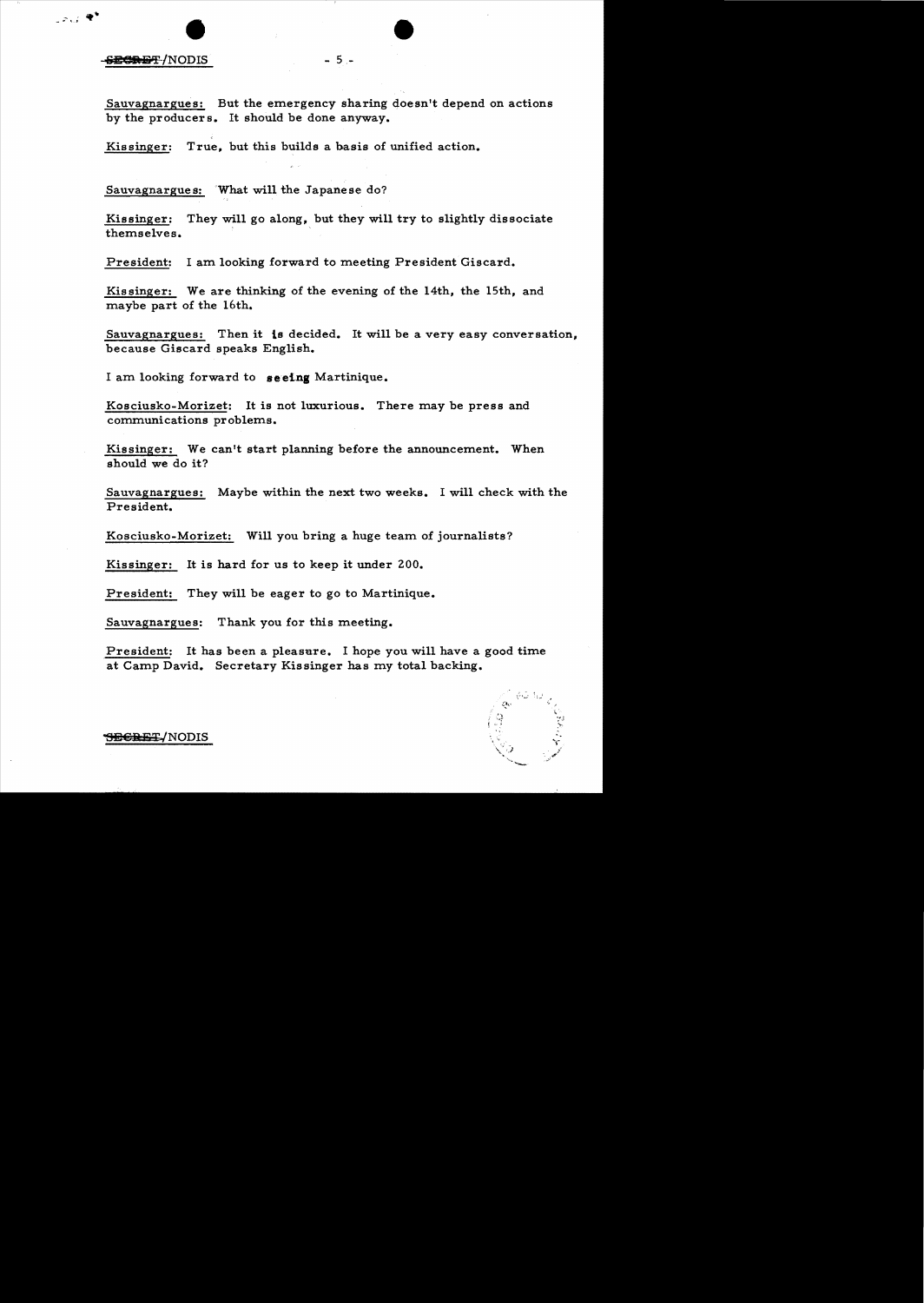SECRET/NODIS

\*\* ت>ر

Sauvagnargues: But the emergency sharing doesn't depend on actions by the producers. It should be done anyway.

 $-5 -$ 

True, but this builds a basis of unified action. Kissinger:

Sauvagnargues: 'What will the Japanese do?

Kissinger: They will go along, but they will try to slightly dissociate themselves.

President: I am looking forward to meeting President Giscard.

Kissinger: We are thinking of the evening of the 14th, the 15th, and maybe part of the 16th.

Sauvagnargues: Then it is decided. It will be a very easy conversation, because Giscard speaks English.

I am looking forward to seeing Martinique.

Kosciusko-Morizet: It is not luxurious. There may be press and communications problems.

Kissinger: We can't start planning before the announcement. When should we do it?

Sauvagnargues: Maybe within the next two weeks. I will check with the President.

Kosciusko-Morizet: Will you bring a huge team of journalists?

Kissinger: It is hard for us to keep it under 200.

President: They will be eager to go to Martinique.

Sauvagnargues: Thank you for this meeting.

President: It has been a pleasure. I hope you will have a good time at Camp David. Secretary Kissinger has my total backing.



<del>SECRET</del>/NODIS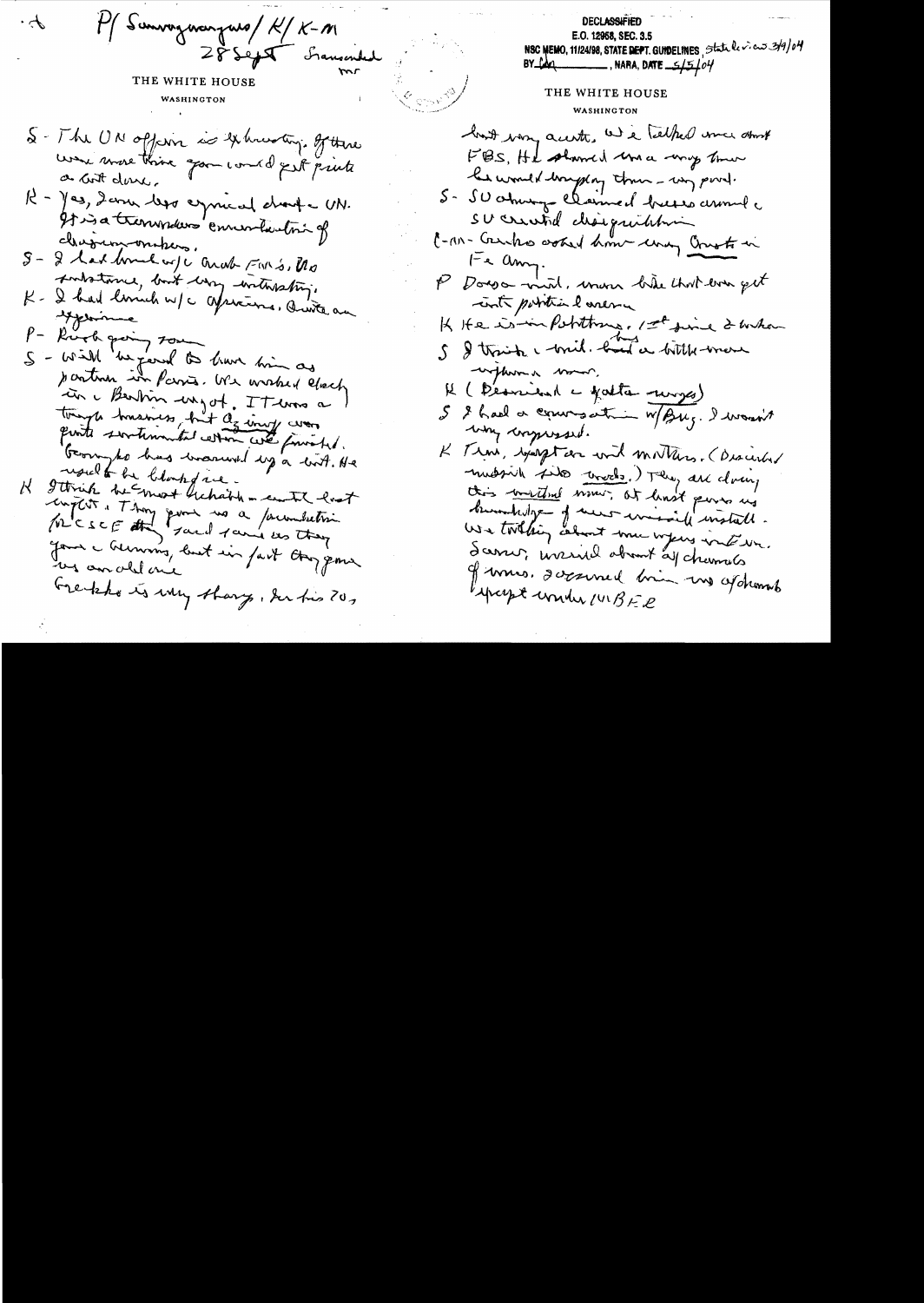Pf Sunvaymongues/ K/ K-M **DECLASSIFIED** .  $\boldsymbol{\mathcal{F}}$ E.O. 12968, SEC. 3.5 NSC MEMO, 11/24/98, STATE DEPT. GUIDELINES, State levels 3/9/04 28 Sept Samonded  $BY$   $\underline{CA}$  , NARA, DATE  $\frac{5}{5}$   $104$ THE WHITE HOUSE THE WHITE HOUSE WASHINGTON WASHINGTON host wany accents, we called me about S - The UN offerin is 4 knowing. of these FBS, He shared una may town were more think you could get print the wonder brugglay than - my poved. a but done. R - Jes, 2 ann less equined droute UN. S- JU atmosf element besses around It is a transmessed concernation of SU created chargeratching charany ombers. C-M-Carbo asked him uning Cruste in S- & last lunch or je anak Fars, Mo  $1 - e$  any. substance, but lary withseling. P Doroo wind, more have that ever get K - I had limit w/c aprecious, ante au cont portioned over yponne K It a is in Pottoms, 1st since 2 borhow P- River giving rom S & trains a will band a bittle wear S - will 'he jard to have him as partner in Paris. We wroked clock without mon. Il (Desveitant a fatter runges) in a Berlin myst. It was a 5 & had a courant in WBUS. I wasn't tough transmess, but against war points sentimental cetter we forward. wherever hypothesis K Tim, spapt ar wit mothers. (Discuted Trought has warned up a wit. He usualt be blackfree. mussion side wroter. ) They are closeng K getrich becomet hichable - cutil lost this withul move, at lanst persons comptet a Thong point no a formulation burnhylge of mes wissile install. MCSCF the gard ramies they We touthing about me wyers interest. grand a Germany but in fast they gener Scener, werned about al channels we another of womes. I occurred bin me afchaments breakly to my thang, In his 70, expressed worder InBER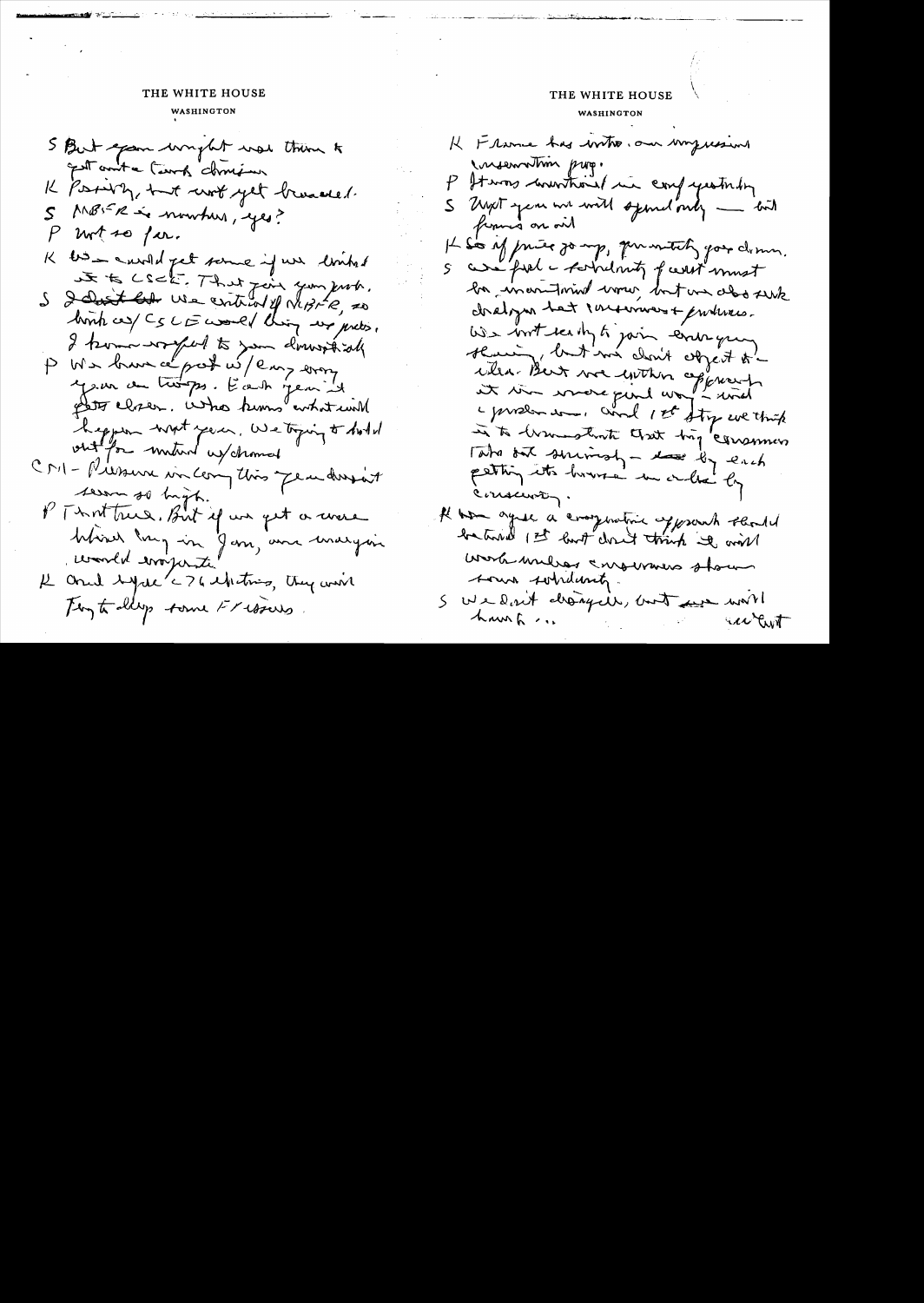#### THE WHITE HOUSE

WASHINGTON

S But span wright was think to gest anite Count domine It Posterly, but with yet breaded. 5 MBSFR is nowhere, yes?  $P$  int so for. K bien a world get some if we limbed to CSCE. That we give you good . bomb as / CS LE world thing we preto, I know wright to your downshirt P We have a prot wi/emp every year du troops. Each year it for elser. Who kims what will happen went year, we toging to doll out for motion undersomed CMI- Piersure in Comptions Jean dorsant serve so high. P Tenttrue. But if we get a were befored long in Jan, and margin , world wajorste I and syse 'c ? a whiting, they will flyto dly tome Fritous.

# K Frame has writer, on impressions inservation prop. P Itwas countrous in configuration S Most year we will symularly - but finnis on our It so of price go up, premetity goes down. 5 cura fred a scribalmity of cerest must be incontained wow, but we also sent chalyn hat incorner + putures. We writ ready to join early young showing, but mi cloud aggest towhere Bent we within approach - production. and 1st stop we think in to transfort that try common Take out survivaly - the by each petiting its however in called by conscurs, Il ham aguse a crosgementie approvati revolut becaused 1st level don't think it will work unlies conserves shown sour solidant. S we don't drangell, but we work haunt ... ac Cut

THE WHITE HOUSE

WASHINGTON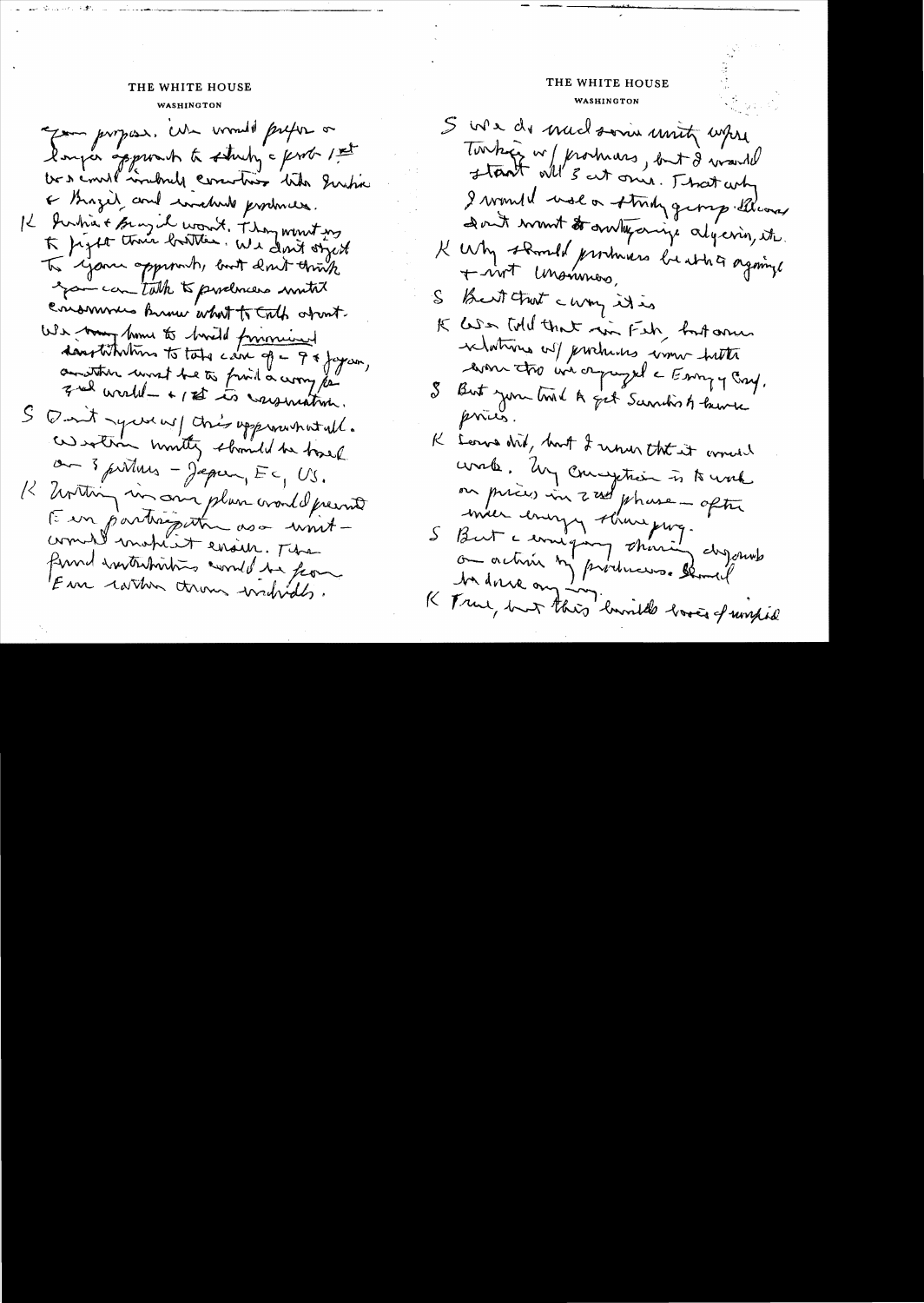## THE WHITE HOUSE

WASHINGTON

for propose. We would prefer a longer approach to study a probability tres const induly converting tite question & Brazil, and weakend produces. Il Justin & Sunzil won't Thompsont my To ijan opprovih, but don't think going can talk to produce mutit consommers know what to talk about. We trang home to baild formoming doughthelines to take care of - 9 x fayour, anstitute unat be to find a way for quel world - + 1 st is carswation. S Quit you w/ chisapprovemental. as estim monthly should be back on 3 publices - Japan,  $E\subset$ , US. K horting un our plun would prevent Eun partingation asa wontcomment vnohlist ensure. The find intertinting conde to for Eur rather than writials.

THE WHITE HOUSE WASHINGTON S We do much some unity where Towking w/ produces, but I wanted stant will s at onie. That why I would use a stridy giving theory don't want to only any algering it. K Why should produces beathing againg + int linonmers, S But that curry it is K We Told that in Feb, fortame entions of produces come bitte were tro in crywysl a Esingy Cry. I But you trial A get Surrist to burte prices. K Lores did, but I when the it would work. My conception is to work on prices in 2 and phase - often men enorgy strangery. S But a conjoint charing disponds on active m' produces devil